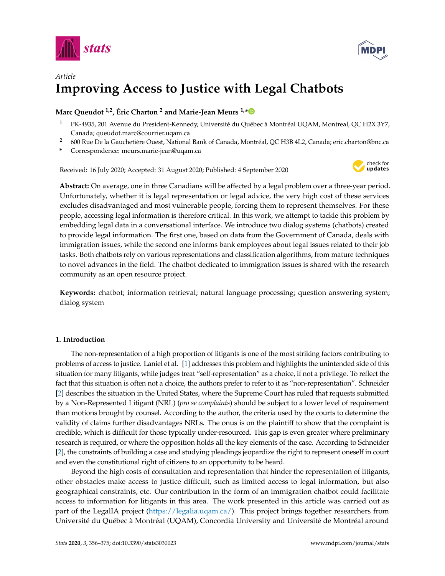



# *Article* **Improving Access to Justice with Legal Chatbots**

# **Marc Queudot 1,2, Éric Charton <sup>2</sup> and Marie-Jean Meurs 1,[\\*](https://orcid.org/0000-0001-8196-2153)**

- <sup>1</sup> PK-4935, 201 Avenue du President-Kennedy, Université du Québec à Montréal UQAM, Montreal, QC H2X 3Y7, Canada; queudot.marc@courrier.uqam.ca
- <sup>2</sup> 600 Rue De la Gauchetière Ouest, National Bank of Canada, Montréal, QC H3B 4L2, Canada; eric.charton@bnc.ca
- **\*** Correspondence: meurs.marie-jean@uqam.ca

Received: 16 July 2020; Accepted: 31 August 2020; Published: 4 September 2020



**Abstract:** On average, one in three Canadians will be affected by a legal problem over a three-year period. Unfortunately, whether it is legal representation or legal advice, the very high cost of these services excludes disadvantaged and most vulnerable people, forcing them to represent themselves. For these people, accessing legal information is therefore critical. In this work, we attempt to tackle this problem by embedding legal data in a conversational interface. We introduce two dialog systems (chatbots) created to provide legal information. The first one, based on data from the Government of Canada, deals with immigration issues, while the second one informs bank employees about legal issues related to their job tasks. Both chatbots rely on various representations and classification algorithms, from mature techniques to novel advances in the field. The chatbot dedicated to immigration issues is shared with the research community as an open resource project.

**Keywords:** chatbot; information retrieval; natural language processing; question answering system; dialog system

# **1. Introduction**

The non-representation of a high proportion of litigants is one of the most striking factors contributing to problems of access to justice. Laniel et al. [\[1\]](#page-17-0) addresses this problem and highlights the unintended side of this situation for many litigants, while judges treat "self-representation" as a choice, if not a privilege. To reflect the fact that this situation is often not a choice, the authors prefer to refer to it as "non-representation". Schneider [\[2\]](#page-17-1) describes the situation in the United States, where the Supreme Court has ruled that requests submitted by a Non-Represented Litigant (NRL) (*pro se complaints*) should be subject to a lower level of requirement than motions brought by counsel. According to the author, the criteria used by the courts to determine the validity of claims further disadvantages NRLs. The onus is on the plaintiff to show that the complaint is credible, which is difficult for those typically under-resourced. This gap is even greater where preliminary research is required, or where the opposition holds all the key elements of the case. According to Schneider [\[2\]](#page-17-1), the constraints of building a case and studying pleadings jeopardize the right to represent oneself in court and even the constitutional right of citizens to an opportunity to be heard.

Beyond the high costs of consultation and representation that hinder the representation of litigants, other obstacles make access to justice difficult, such as limited access to legal information, but also geographical constraints, etc. Our contribution in the form of an immigration chatbot could facilitate access to information for litigants in this area. The work presented in this article was carried out as part of the LegalIA project [\(https://legalia.uqam.ca/\)](https://legalia.uqam.ca/). This project brings together researchers from Université du Québec à Montréal (UQAM), Concordia University and Université de Montréal around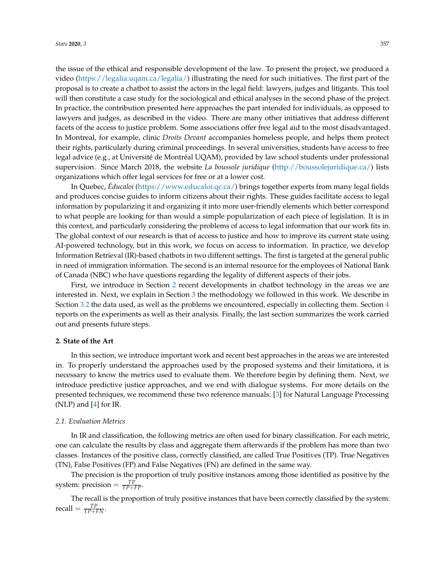the issue of the ethical and responsible development of the law. To present the project, we produced a video [\(https://legalia.uqam.ca/legalia/\)](https://legalia.uqam.ca/legalia/) illustrating the need for such initiatives. The first part of the proposal is to create a chatbot to assist the actors in the legal field: lawyers, judges and litigants. This tool will then constitute a case study for the sociological and ethical analyses in the second phase of the project. In practice, the contribution presented here approaches the part intended for individuals, as opposed to lawyers and judges, as described in the video. There are many other initiatives that address different facets of the access to justice problem. Some associations offer free legal aid to the most disadvantaged. In Montreal, for example, clinic *Droits Devant* accompanies homeless people, and helps them protect their rights, particularly during criminal proceedings. In several universities, students have access to free legal advice (e.g., at Université de Montréal UQAM), provided by law school students under professional supervision. Since March 2018, the website *La boussole juridique* [\(http://boussolejuridique.ca/\)](http://boussolejuridique.ca/) lists organizations which offer legal services for free or at a lower cost.

In Quebec, *Éducaloi* [\(https://www.educaloi.qc.ca/\)](https://www.educaloi.qc.ca/) brings together experts from many legal fields and produces concise guides to inform citizens about their rights. These guides facilitate access to legal information by popularizing it and organizing it into more user-friendly elements which better correspond to what people are looking for than would a simple popularization of each piece of legislation. It is in this context, and particularly considering the problems of access to legal information that our work fits in. The global context of our research is that of access to justice and how to improve its current state using AI-powered technology, but in this work, we focus on access to information. In practice, we develop Information Retrieval (IR)-based chatbots in two different settings. The first is targeted at the general public in need of immigration information. The second is an internal resource for the employees of National Bank of Canada (NBC) who have questions regarding the legality of different aspects of their jobs.

First, we introduce in Section [2](#page-1-0) recent developments in chatbot technology in the areas we are interested in. Next, we explain in Section [3](#page-10-0) the methodology we followed in this work. We describe in Section [3.2](#page-12-0) the data used, as well as the problems we encountered, especially in collecting them. Section [4](#page-13-0) reports on the experiments as well as their analysis. Finally, the last section summarizes the work carried out and presents future steps.

## <span id="page-1-0"></span>**2. State of the Art**

In this section, we introduce important work and recent best approaches in the areas we are interested in. To properly understand the approaches used by the proposed systems and their limitations, it is necessary to know the metrics used to evaluate them. We therefore begin by defining them. Next, we introduce predictive justice approaches, and we end with dialogue systems. For more details on the presented techniques, we recommend these two reference manuals: [\[3\]](#page-17-2) for Natural Language Processing (NLP) and [\[4\]](#page-17-3) for IR.

## *2.1. Evaluation Metrics*

In IR and classification, the following metrics are often used for binary classification. For each metric, one can calculate the results by class and aggregate them afterwards if the problem has more than two classes. Instances of the positive class, correctly classified, are called True Positives (TP). True Negatives (TN), False Positives (FP) and False Negatives (FN) are defined in the same way.

The precision is the proportion of truly positive instances among those identified as positive by the system: precision  $= \frac{TP}{TP + FP}$ .

The recall is the proportion of truly positive instances that have been correctly classified by the system:  $\text{recall} = \frac{TP}{TP+FN}.$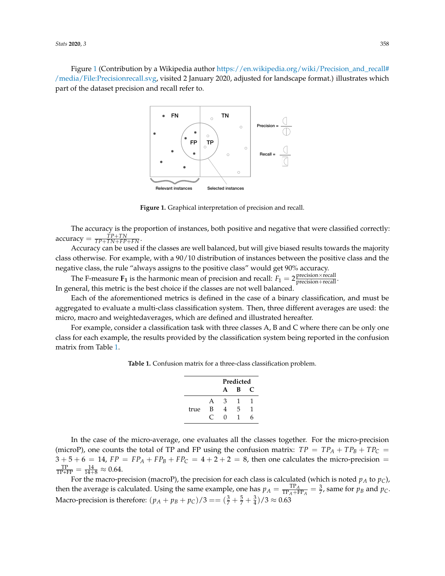<span id="page-2-0"></span>Figure [1](#page-2-0) (Contribution by a Wikipedia author [https://en.wikipedia.org/wiki/Precision\\_and\\_recall#](https://en.wikipedia.org/wiki/Precision_and_recall#/media/File:Precisionrecall.svg) [/media/File:Precisionrecall.svg,](https://en.wikipedia.org/wiki/Precision_and_recall#/media/File:Precisionrecall.svg) visited 2 January 2020, adjusted for landscape format.) illustrates which part of the dataset precision and recall refer to.



**Figure 1.** Graphical interpretation of precision and recall.

The accuracy is the proportion of instances, both positive and negative that were classified correctly:  $\text{accuracy} = \frac{TP + TN}{TP + TN + FP + FN}.$ 

Accuracy can be used if the classes are well balanced, but will give biased results towards the majority class otherwise. For example, with a 90/10 distribution of instances between the positive class and the negative class, the rule "always assigns to the positive class" would get 90% accuracy.

The F-measure  $\mathbf{F_1}$  is the harmonic mean of precision and recall:  $F_1 = 2 \frac{\text{precision} \times \text{recall}}{\text{precision} + \text{recall}}$ . In general, this metric is the best choice if the classes are not well balanced.

Each of the aforementioned metrics is defined in the case of a binary classification, and must be aggregated to evaluate a multi-class classification system. Then, three different averages are used: the micro, macro and weightedaverages, which are defined and illustrated hereafter.

<span id="page-2-1"></span>For example, consider a classification task with three classes A, B and C where there can be only one class for each example, the results provided by the classification system being reported in the confusion matrix from Table [1.](#page-2-1)

**Table 1.** Confusion matrix for a three-class classification problem.

|      |   | Predicted |   |   |  |  |  |  |  |
|------|---|-----------|---|---|--|--|--|--|--|
|      |   | A         | в |   |  |  |  |  |  |
|      | А | 3         |   |   |  |  |  |  |  |
| true | В | 4         | 5 |   |  |  |  |  |  |
|      |   | O         | 1 | h |  |  |  |  |  |

In the case of the micro-average, one evaluates all the classes together. For the micro-precision (microP), one counts the total of TP and FP using the confusion matrix:  $TP = TP_A + TP_B + TP_C$  $3 + 5 + 6 = 14$ ,  $FP = FP<sub>A</sub> + FP<sub>B</sub> + FP<sub>C</sub> = 4 + 2 + 2 = 8$ , then one calculates the micro-precision =  $\frac{\text{TP}}{\text{TP+FP}} = \frac{14}{14+8} \approx 0.64.$ 

For the macro-precision (macroP), the precision for each class is calculated (which is noted  $p_A$  to  $p_C$ ), then the average is calculated. Using the same example, one has  $p_A = \frac{TP_A}{TP_A+FP_A} = \frac{3}{7}$ , same for  $p_B$  and  $p_C$ . Macro-precision is therefore:  $(p_A + p_B + p_C)/3 = ( \frac{3}{7} + \frac{5}{7} + \frac{3}{4} )/3 \approx 0.63$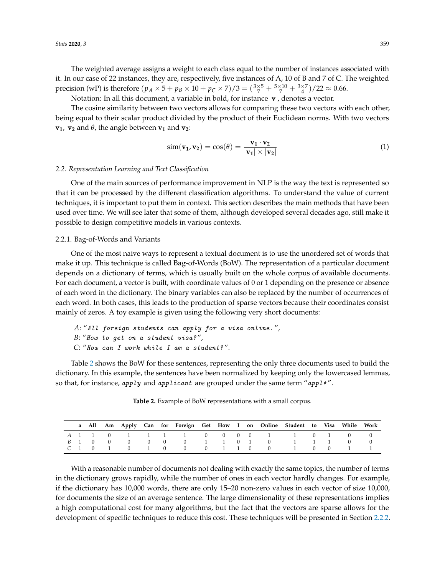The weighted average assigns a weight to each class equal to the number of instances associated with it. In our case of 22 instances, they are, respectively, five instances of A, 10 of B and 7 of C. The weighted precision (wP) is therefore  $(p_A \times 5 + p_B \times 10 + p_C \times 7)/3 = (\frac{3 \times 5}{7} + \frac{5 \times 10}{7} + \frac{3 \times 7}{4})/22 \approx 0.66$ .

Notation: In all this document, a variable in bold, for instance **v** , denotes a vector.

The cosine similarity between two vectors allows for comparing these two vectors with each other, being equal to their scalar product divided by the product of their Euclidean norms. With two vectors  **and**  $\theta$ **, the angle between**  $**v**<sub>1</sub>$  **and**  $**v**<sub>2</sub>$ **:** 

$$
\text{sim}(\mathbf{v_1}, \mathbf{v_2}) = \cos(\theta) = \frac{\mathbf{v_1} \cdot \mathbf{v_2}}{|\mathbf{v_1}| \times |\mathbf{v_2}|}
$$
(1)

## *2.2. Representation Learning and Text Classification*

One of the main sources of performance improvement in NLP is the way the text is represented so that it can be processed by the different classification algorithms. To understand the value of current techniques, it is important to put them in context. This section describes the main methods that have been used over time. We will see later that some of them, although developed several decades ago, still make it possible to design competitive models in various contexts.

## 2.2.1. Bag-of-Words and Variants

One of the most naive ways to represent a textual document is to use the unordered set of words that make it up. This technique is called Bag-of-Words (BoW). The representation of a particular document depends on a dictionary of terms, which is usually built on the whole corpus of available documents. For each document, a vector is built, with coordinate values of 0 or 1 depending on the presence or absence of each word in the dictionary. The binary variables can also be replaced by the number of occurrences of each word. In both cases, this leads to the production of sparse vectors because their coordinates consist mainly of zeros. A toy example is given using the following very short documents:

*A*: "All foreign students can apply for a visa online. ", *B*: "How to get on a student visa? ", *C*: "How can I work while I am a student? ".

Table [2](#page-3-0) shows the BoW for these sentences, representing the only three documents used to build the dictionary. In this example, the sentences have been normalized by keeping only the lowercased lemmas, so that, for instance, apply and applicant are grouped under the same term "appl\*".

<span id="page-3-0"></span>

|  |                             |  |                   |  |  | a All Am Apply Can for Foreign Get How I on Online Student to Visa While Work |  |          |  |
|--|-----------------------------|--|-------------------|--|--|-------------------------------------------------------------------------------|--|----------|--|
|  |                             |  |                   |  |  | A 1 1 0 1 1 1 1 0 0 0 0 1 1 0 1 0                                             |  |          |  |
|  |                             |  |                   |  |  | B 1 0 0 0 0 0 0 0 1 1 0 1 0 0 1 1 1 1                                         |  | $\Omega$ |  |
|  | $C \quad 1 \quad 0 \quad 1$ |  | 0 1 0 0 0 1 1 0 0 |  |  | 1 0 0                                                                         |  |          |  |

**Table 2.** Example of BoW representations with a small corpus.

With a reasonable number of documents not dealing with exactly the same topics, the number of terms in the dictionary grows rapidly, while the number of ones in each vector hardly changes. For example, if the dictionary has 10,000 words, there are only 15–20 non-zero values in each vector of size 10,000, for documents the size of an average sentence. The large dimensionality of these representations implies a high computational cost for many algorithms, but the fact that the vectors are sparse allows for the development of specific techniques to reduce this cost. These techniques will be presented in Section [2.2.2.](#page-4-0)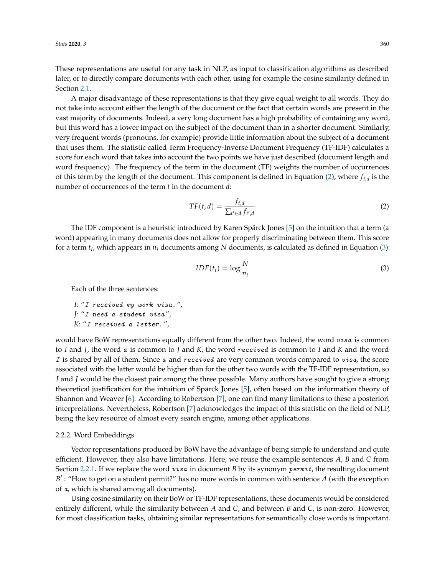These representations are useful for any task in NLP, as input to classification algorithms as described later, or to directly compare documents with each other, using for example the cosine similarity defined in Section [2.1.](#page-2-1)

A major disadvantage of these representations is that they give equal weight to all words. They do not take into account either the length of the document or the fact that certain words are present in the vast majority of documents. Indeed, a very long document has a high probability of containing any word, but this word has a lower impact on the subject of the document than in a shorter document. Similarly, very frequent words (pronouns, for example) provide little information about the subject of a document that uses them. The statistic called Term Frequency-Inverse Document Frequency (TF-IDF) calculates a score for each word that takes into account the two points we have just described (document length and word frequency). The frequency of the term in the document (TF) weights the number of occurrences of this term by the length of the document. This component is defined in Equation [\(2\)](#page-4-1), where  $f_{t,d}$  is the number of occurrences of the term *t* in the document *d*:

<span id="page-4-1"></span>
$$
TF(t,d) = \frac{f_{t,d}}{\sum_{t' \in d} f_{t',d}}
$$
 (2)

The IDF component is a heuristic introduced by Karen Spärck Jones [\[5\]](#page-18-0) on the intuition that a term (a word) appearing in many documents does not allow for properly discriminating between them. This score for a term *t<sup>i</sup>* , which appears in *n<sup>i</sup>* documents among *N* documents, is calculated as defined in Equation [\(3\)](#page-4-2):

<span id="page-4-2"></span>
$$
IDF(t_i) = \log \frac{N}{n_i}
$$
\n(3)

Each of the three sentences:

*I*: "I received my work visa. ", *J*: "I need a student visa ", *K*: "I received a letter. ",

would have BoW representations equally different from the other two. Indeed, the word  $visa$  is common to *I* and *J*, the word a is common to *J* and *K*, the word received is common to *I* and *K* and the word  $I$  is shared by all of them. Since  $a$  and received are very common words compared to  $visa$ , the score associated with the latter would be higher than for the other two words with the TF-IDF representation, so *I* and *J* would be the closest pair among the three possible. Many authors have sought to give a strong theoretical justification for the intuition of Spärck Jones [\[5\]](#page-18-0), often based on the information theory of Shannon and Weaver [\[6\]](#page-18-1). According to Robertson [\[7\]](#page-18-2), one can find many limitations to these a posteriori interpretations. Nevertheless, Robertson [\[7\]](#page-18-2) acknowledges the impact of this statistic on the field of NLP, being the key resource of almost every search engine, among other applications.

## <span id="page-4-0"></span>2.2.2. Word Embeddings

Vector representations produced by BoW have the advantage of being simple to understand and quite efficient. However, they also have limitations. Here, we reuse the example sentences *A*, *B* and *C* from Section [2.2.1.](#page-3-0) If we replace the word *visa* in document *B* by its synonym *permit*, the resulting document B': "How to get on a student permit?" has no more words in common with sentence *A* (with the exception of a, which is shared among all documents).

Using cosine similarity on their BoW or TF-IDF representations, these documents would be considered entirely different, while the similarity between *A* and *C*, and between *B* and *C*, is non-zero. However, for most classification tasks, obtaining similar representations for semantically close words is important.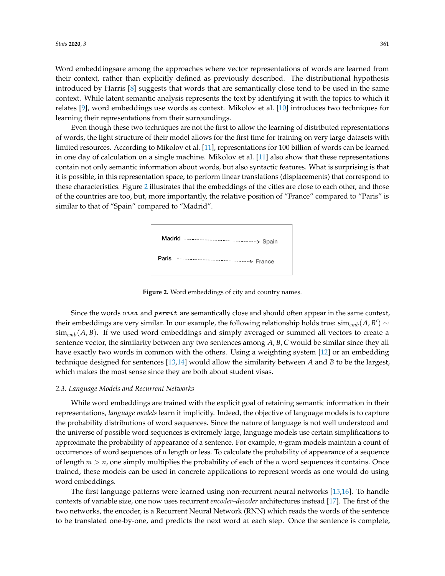Word embeddingsare among the approaches where vector representations of words are learned from their context, rather than explicitly defined as previously described. The distributional hypothesis introduced by Harris [\[8\]](#page-18-3) suggests that words that are semantically close tend to be used in the same context. While latent semantic analysis represents the text by identifying it with the topics to which it relates [\[9\]](#page-18-4), word embeddings use words as context. Mikolov et al. [\[10\]](#page-18-5) introduces two techniques for learning their representations from their surroundings.

<span id="page-5-0"></span>Even though these two techniques are not the first to allow the learning of distributed representations of words, the light structure of their model allows for the first time for training on very large datasets with limited resources. According to Mikolov et al. [\[11\]](#page-18-6), representations for 100 billion of words can be learned in one day of calculation on a single machine. Mikolov et al. [\[11\]](#page-18-6) also show that these representations contain not only semantic information about words, but also syntactic features. What is surprising is that it is possible, in this representation space, to perform linear translations (displacements) that correspond to these characteristics. Figure [2](#page-5-0) illustrates that the embeddings of the cities are close to each other, and those of the countries are too, but, more importantly, the relative position of "France" compared to "Paris" is similar to that of "Spain" compared to "Madrid".

| Madrid<br>$- - - - - - -$<br>---------------------> Spain |
|-----------------------------------------------------------|
| Paris<br>-----------------------> France                  |

**Figure 2.** Word embeddings of city and country names.

Since the words  $visa$  and permit are semantically close and should often appear in the same context, their embeddings are very similar. In our example, the following relationship holds true:  $\sin_{emb}(A, B') \sim$  $\sin\theta_{emb}(A, B)$ . If we used word embeddings and simply averaged or summed all vectors to create a sentence vector, the similarity between any two sentences among *A*, *B*, *C* would be similar since they all have exactly two words in common with the others. Using a weighting system [\[12\]](#page-18-7) or an embedding technique designed for sentences [\[13,](#page-18-8)[14\]](#page-18-9) would allow the similarity between *A* and *B* to be the largest, which makes the most sense since they are both about student visas.

#### *2.3. Language Models and Recurrent Networks*

While word embeddings are trained with the explicit goal of retaining semantic information in their representations, *language models* learn it implicitly. Indeed, the objective of language models is to capture the probability distributions of word sequences. Since the nature of language is not well understood and the universe of possible word sequences is extremely large, language models use certain simplifications to approximate the probability of appearance of a sentence. For example, *n*-gram models maintain a count of occurrences of word sequences of *n* length or less. To calculate the probability of appearance of a sequence of length *m* > *n*, one simply multiplies the probability of each of the *n* word sequences it contains. Once trained, these models can be used in concrete applications to represent words as one would do using word embeddings.

The first language patterns were learned using non-recurrent neural networks [\[15](#page-18-10)[,16\]](#page-18-11). To handle contexts of variable size, one now uses recurrent *encoder–decoder* architectures instead [\[17\]](#page-18-12). The first of the two networks, the encoder, is a Recurrent Neural Network (RNN) which reads the words of the sentence to be translated one-by-one, and predicts the next word at each step. Once the sentence is complete,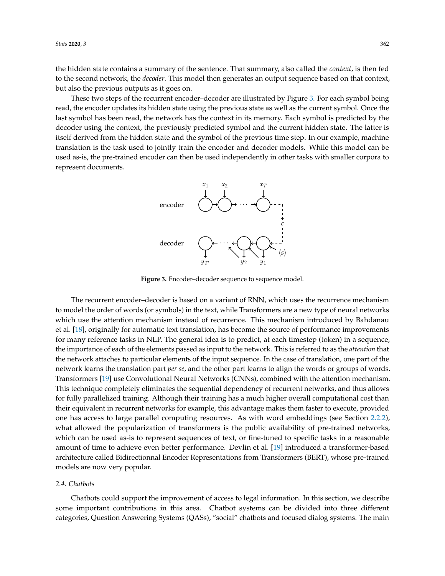the hidden state contains a summary of the sentence. That summary, also called the *context*, is then fed to the second network, the *decoder*. This model then generates an output sequence based on that context, but also the previous outputs as it goes on.

<span id="page-6-0"></span>These two steps of the recurrent encoder–decoder are illustrated by Figure [3.](#page-6-0) For each symbol being read, the encoder updates its hidden state using the previous state as well as the current symbol. Once the last symbol has been read, the network has the context in its memory. Each symbol is predicted by the decoder using the context, the previously predicted symbol and the current hidden state. The latter is itself derived from the hidden state and the symbol of the previous time step. In our example, machine translation is the task used to jointly train the encoder and decoder models. While this model can be used as-is, the pre-trained encoder can then be used independently in other tasks with smaller corpora to represent documents.



**Figure 3.** Encoder–decoder sequence to sequence model.

The recurrent encoder–decoder is based on a variant of RNN, which uses the recurrence mechanism to model the order of words (or symbols) in the text, while Transformers are a new type of neural networks which use the attention mechanism instead of recurrence. This mechanism introduced by Bahdanau et al. [\[18\]](#page-18-13), originally for automatic text translation, has become the source of performance improvements for many reference tasks in NLP. The general idea is to predict, at each timestep (token) in a sequence, the importance of each of the elements passed as input to the network. This is referred to as the *attention* that the network attaches to particular elements of the input sequence. In the case of translation, one part of the network learns the translation part *per se*, and the other part learns to align the words or groups of words. Transformers [\[19\]](#page-18-14) use Convolutional Neural Networks (CNNs), combined with the attention mechanism. This technique completely eliminates the sequential dependency of recurrent networks, and thus allows for fully parallelized training. Although their training has a much higher overall computational cost than their equivalent in recurrent networks for example, this advantage makes them faster to execute, provided one has access to large parallel computing resources. As with word embeddings (see Section [2.2.2\)](#page-4-0), what allowed the popularization of transformers is the public availability of pre-trained networks, which can be used as-is to represent sequences of text, or fine-tuned to specific tasks in a reasonable amount of time to achieve even better performance. Devlin et al. [\[19\]](#page-18-14) introduced a transformer-based architecture called Bidirectionnal Encoder Representations from Transformers (BERT), whose pre-trained models are now very popular.

## *2.4. Chatbots*

Chatbots could support the improvement of access to legal information. In this section, we describe some important contributions in this area. Chatbot systems can be divided into three different categories, Question Answering Systems (QASs), "social" chatbots and focused dialog systems. The main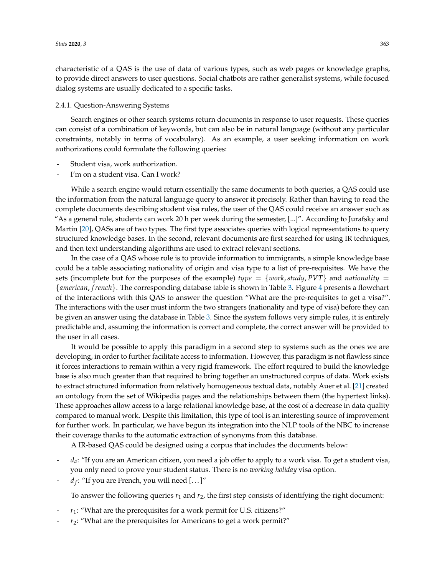characteristic of a QAS is the use of data of various types, such as web pages or knowledge graphs, to provide direct answers to user questions. Social chatbots are rather generalist systems, while focused dialog systems are usually dedicated to a specific tasks.

#### 2.4.1. Question-Answering Systems

Search engines or other search systems return documents in response to user requests. These queries can consist of a combination of keywords, but can also be in natural language (without any particular constraints, notably in terms of vocabulary). As an example, a user seeking information on work authorizations could formulate the following queries:

- Student visa, work authorization.
- I'm on a student visa. Can I work?

While a search engine would return essentially the same documents to both queries, a QAS could use the information from the natural language query to answer it precisely. Rather than having to read the complete documents describing student visa rules, the user of the QAS could receive an answer such as "As a general rule, students can work 20 h per week during the semester, [...]". According to Jurafsky and Martin [\[20\]](#page-18-15), QASs are of two types. The first type associates queries with logical representations to query structured knowledge bases. In the second, relevant documents are first searched for using IR techniques, and then text understanding algorithms are used to extract relevant sections.

In the case of a QAS whose role is to provide information to immigrants, a simple knowledge base could be a table associating nationality of origin and visa type to a list of pre-requisites. We have the sets (incomplete but for the purposes of the example) *type* =  $\{work, study, PVT\}$  and *nationality* = {*american*, *f rench*}. The corresponding database table is shown in Table [3.](#page-8-0) Figure [4](#page-8-1) presents a flowchart of the interactions with this QAS to answer the question "What are the pre-requisites to get a visa?". The interactions with the user must inform the two strangers (nationality and type of visa) before they can be given an answer using the database in Table [3.](#page-8-0) Since the system follows very simple rules, it is entirely predictable and, assuming the information is correct and complete, the correct answer will be provided to the user in all cases.

It would be possible to apply this paradigm in a second step to systems such as the ones we are developing, in order to further facilitate access to information. However, this paradigm is not flawless since it forces interactions to remain within a very rigid framework. The effort required to build the knowledge base is also much greater than that required to bring together an unstructured corpus of data. Work exists to extract structured information from relatively homogeneous textual data, notably Auer et al. [\[21\]](#page-18-16) created an ontology from the set of Wikipedia pages and the relationships between them (the hypertext links). These approaches allow access to a large relational knowledge base, at the cost of a decrease in data quality compared to manual work. Despite this limitation, this type of tool is an interesting source of improvement for further work. In particular, we have begun its integration into the NLP tools of the NBC to increase their coverage thanks to the automatic extraction of synonyms from this database.

A IR-based QAS could be designed using a corpus that includes the documents below:

- d<sub>a</sub>: "If you are an American citizen, you need a job offer to apply to a work visa. To get a student visa, you only need to prove your student status. There is no *working holiday* visa option.
- *d<sup>f</sup>* : "If you are French, you will need [. . . ]"

To answer the following queries  $r_1$  and  $r_2$ , the first step consists of identifying the right document:

- $r_1$ : "What are the prerequisites for a work permit for U.S. citizens?"
- $r_2$ : "What are the prerequisites for Americans to get a work permit?"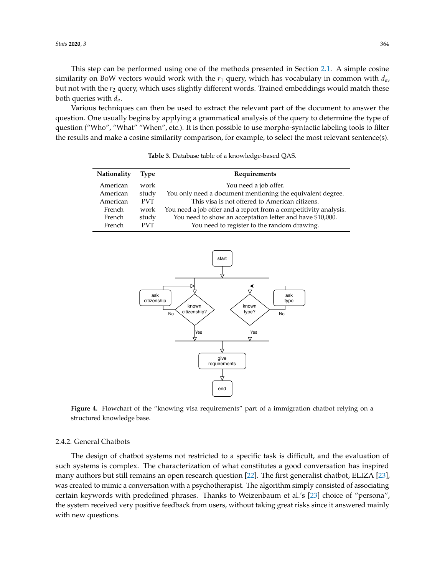*Stats* **2020**, *3* 364

This step can be performed using one of the methods presented in Section [2.1.](#page-2-1) A simple cosine similarity on BoW vectors would work with the  $r_1$  query, which has vocabulary in common with  $d_a$ , but not with the  $r_2$  query, which uses slightly different words. Trained embeddings would match these both queries with *da*.

<span id="page-8-0"></span>Various techniques can then be used to extract the relevant part of the document to answer the question. One usually begins by applying a grammatical analysis of the query to determine the type of question ("Who", "What" "When", etc.). It is then possible to use morpho-syntactic labeling tools to filter the results and make a cosine similarity comparison, for example, to select the most relevant sentence(s).

| Nationality | Type       | Requirements                                                     |
|-------------|------------|------------------------------------------------------------------|
| American    | work       | You need a job offer.                                            |
| American    | study      | You only need a document mentioning the equivalent degree.       |
| American    | <b>PVT</b> | This visa is not offered to American citizens.                   |
| French      | work       | You need a job offer and a report from a competitivity analysis. |
| French      | study      | You need to show an acceptation letter and have \$10,000.        |
| French      | <b>PVT</b> | You need to register to the random drawing.                      |

**Table 3.** Database table of a knowledge-based QAS.

<span id="page-8-1"></span>

**Figure 4.** Flowchart of the "knowing visa requirements" part of a immigration chatbot relying on a structured knowledge base.

#### 2.4.2. General Chatbots

The design of chatbot systems not restricted to a specific task is difficult, and the evaluation of such systems is complex. The characterization of what constitutes a good conversation has inspired many authors but still remains an open research question [\[22\]](#page-18-17). The first generalist chatbot, ELIZA [\[23\]](#page-18-18), was created to mimic a conversation with a psychotherapist. The algorithm simply consisted of associating certain keywords with predefined phrases. Thanks to Weizenbaum et al.'s [\[23\]](#page-18-18) choice of "persona", the system received very positive feedback from users, without taking great risks since it answered mainly with new questions.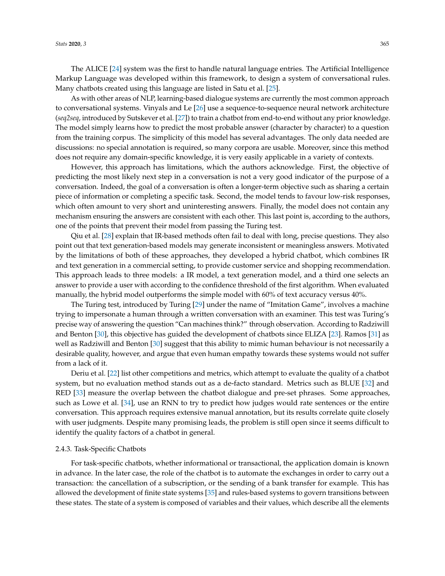The ALICE [\[24\]](#page-18-19) system was the first to handle natural language entries. The Artificial Intelligence Markup Language was developed within this framework, to design a system of conversational rules. Many chatbots created using this language are listed in Satu et al. [\[25\]](#page-18-20).

As with other areas of NLP, learning-based dialogue systems are currently the most common approach to conversational systems. Vinyals and Le [\[26\]](#page-18-21) use a sequence-to-sequence neural network architecture (*seq2seq*, introduced by Sutskever et al. [\[27\]](#page-19-0)) to train a chatbot from end-to-end without any prior knowledge. The model simply learns how to predict the most probable answer (character by character) to a question from the training corpus. The simplicity of this model has several advantages. The only data needed are discussions: no special annotation is required, so many corpora are usable. Moreover, since this method does not require any domain-specific knowledge, it is very easily applicable in a variety of contexts.

However, this approach has limitations, which the authors acknowledge. First, the objective of predicting the most likely next step in a conversation is not a very good indicator of the purpose of a conversation. Indeed, the goal of a conversation is often a longer-term objective such as sharing a certain piece of information or completing a specific task. Second, the model tends to favour low-risk responses, which often amount to very short and uninteresting answers. Finally, the model does not contain any mechanism ensuring the answers are consistent with each other. This last point is, according to the authors, one of the points that prevent their model from passing the Turing test.

Qiu et al. [\[28\]](#page-19-1) explain that IR-based methods often fail to deal with long, precise questions. They also point out that text generation-based models may generate inconsistent or meaningless answers. Motivated by the limitations of both of these approaches, they developed a hybrid chatbot, which combines IR and text generation in a commercial setting, to provide customer service and shopping recommendation. This approach leads to three models: a IR model, a text generation model, and a third one selects an answer to provide a user with according to the confidence threshold of the first algorithm. When evaluated manually, the hybrid model outperforms the simple model with 60% of text accuracy versus 40%.

The Turing test, introduced by Turing [\[29\]](#page-19-2) under the name of "Imitation Game", involves a machine trying to impersonate a human through a written conversation with an examiner. This test was Turing's precise way of answering the question "Can machines think?" through observation. According to Radziwill and Benton [\[30\]](#page-19-3), this objective has guided the development of chatbots since ELIZA [\[23\]](#page-18-18). Ramos [\[31\]](#page-19-4) as well as Radziwill and Benton [\[30\]](#page-19-3) suggest that this ability to mimic human behaviour is not necessarily a desirable quality, however, and argue that even human empathy towards these systems would not suffer from a lack of it.

Deriu et al. [\[22\]](#page-18-17) list other competitions and metrics, which attempt to evaluate the quality of a chatbot system, but no evaluation method stands out as a de-facto standard. Metrics such as BLUE [\[32\]](#page-19-5) and RED [\[33\]](#page-19-6) measure the overlap between the chatbot dialogue and pre-set phrases. Some approaches, such as Lowe et al. [\[34\]](#page-19-7), use an RNN to try to predict how judges would rate sentences or the entire conversation. This approach requires extensive manual annotation, but its results correlate quite closely with user judgments. Despite many promising leads, the problem is still open since it seems difficult to identify the quality factors of a chatbot in general.

## <span id="page-9-0"></span>2.4.3. Task-Specific Chatbots

For task-specific chatbots, whether informational or transactional, the application domain is known in advance. In the later case, the role of the chatbot is to automate the exchanges in order to carry out a transaction: the cancellation of a subscription, or the sending of a bank transfer for example. This has allowed the development of finite state systems [\[35\]](#page-19-8) and rules-based systems to govern transitions between these states. The state of a system is composed of variables and their values, which describe all the elements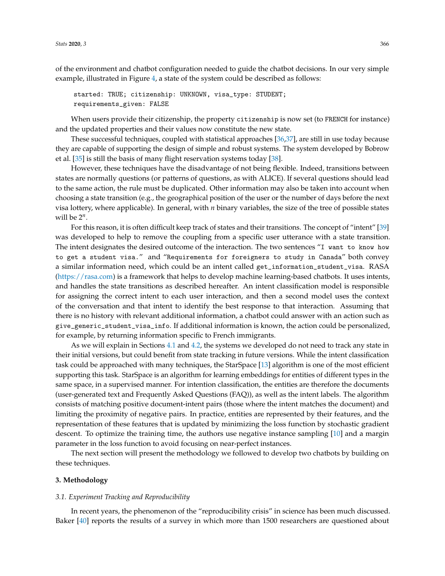of the environment and chatbot configuration needed to guide the chatbot decisions. In our very simple example, illustrated in Figure [4,](#page-8-1) a state of the system could be described as follows:

started: TRUE; citizenship: UNKNOWN, visa\_type: STUDENT; requirements\_given: FALSE

When users provide their citizenship, the property citizenship is now set (to FRENCH for instance) and the updated properties and their values now constitute the new state.

These successful techniques, coupled with statistical approaches [\[36,](#page-19-9)[37\]](#page-19-10), are still in use today because they are capable of supporting the design of simple and robust systems. The system developed by Bobrow et al. [\[35\]](#page-19-8) is still the basis of many flight reservation systems today [\[38\]](#page-19-11).

However, these techniques have the disadvantage of not being flexible. Indeed, transitions between states are normally questions (or patterns of questions, as with ALICE). If several questions should lead to the same action, the rule must be duplicated. Other information may also be taken into account when choosing a state transition (e.g., the geographical position of the user or the number of days before the next visa lottery, where applicable). In general, with *n* binary variables, the size of the tree of possible states will be  $2^n$ .

For this reason, it is often difficult keep track of states and their transitions. The concept of "intent" [\[39\]](#page-19-12) was developed to help to remove the coupling from a specific user utterance with a state transition. The intent designates the desired outcome of the interaction. The two sentences "I want to know how to get a student visa." and "Requirements for foreigners to study in Canada" both convey a similar information need, which could be an intent called get\_information\_student\_visa. RASA [\(https://rasa.com\)](https://rasa.com) is a framework that helps to develop machine learning-based chatbots. It uses intents, and handles the state transitions as described hereafter. An intent classification model is responsible for assigning the correct intent to each user interaction, and then a second model uses the context of the conversation and that intent to identify the best response to that interaction. Assuming that there is no history with relevant additional information, a chatbot could answer with an action such as give\_generic\_student\_visa\_info. If additional information is known, the action could be personalized, for example, by returning information specific to French immigrants.

As we will explain in Sections [4.1](#page-13-1) and [4.2,](#page-14-0) the systems we developed do not need to track any state in their initial versions, but could benefit from state tracking in future versions. While the intent classification task could be approached with many techniques, the StarSpace [\[13\]](#page-18-8) algorithm is one of the most efficient supporting this task. StarSpace is an algorithm for learning embeddings for entities of different types in the same space, in a supervised manner. For intention classification, the entities are therefore the documents (user-generated text and Frequently Asked Questions (FAQ)), as well as the intent labels. The algorithm consists of matching positive document-intent pairs (those where the intent matches the document) and limiting the proximity of negative pairs. In practice, entities are represented by their features, and the representation of these features that is updated by minimizing the loss function by stochastic gradient descent. To optimize the training time, the authors use negative instance sampling [\[10\]](#page-18-5) and a margin parameter in the loss function to avoid focusing on near-perfect instances.

The next section will present the methodology we followed to develop two chatbots by building on these techniques.

## <span id="page-10-0"></span>**3. Methodology**

#### *3.1. Experiment Tracking and Reproducibility*

In recent years, the phenomenon of the "reproducibility crisis" in science has been much discussed. Baker [\[40\]](#page-19-13) reports the results of a survey in which more than 1500 researchers are questioned about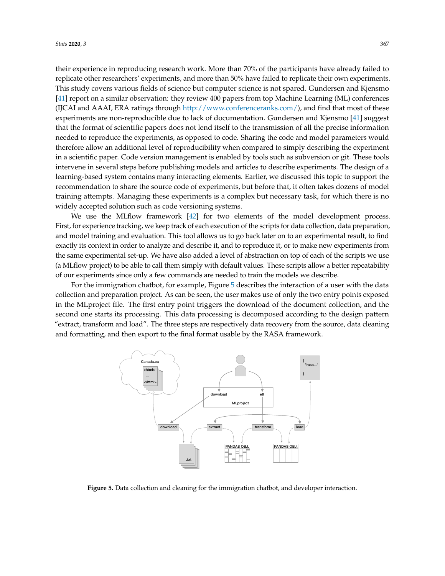their experience in reproducing research work. More than 70% of the participants have already failed to replicate other researchers' experiments, and more than 50% have failed to replicate their own experiments. This study covers various fields of science but computer science is not spared. Gundersen and Kjensmo [\[41\]](#page-19-14) report on a similar observation: they review 400 papers from top Machine Learning (ML) conferences (IJCAI and AAAI, ERA ratings through [http://www.conferenceranks.com/\)](http://www.conferenceranks.com/), and find that most of these experiments are non-reproducible due to lack of documentation. Gundersen and Kjensmo [\[41\]](#page-19-14) suggest that the format of scientific papers does not lend itself to the transmission of all the precise information needed to reproduce the experiments, as opposed to code. Sharing the code and model parameters would therefore allow an additional level of reproducibility when compared to simply describing the experiment in a scientific paper. Code version management is enabled by tools such as subversion or git. These tools intervene in several steps before publishing models and articles to describe experiments. The design of a learning-based system contains many interacting elements. Earlier, we discussed this topic to support the recommendation to share the source code of experiments, but before that, it often takes dozens of model training attempts. Managing these experiments is a complex but necessary task, for which there is no widely accepted solution such as code versioning systems.

We use the MLflow framework [\[42\]](#page-19-15) for two elements of the model development process. First, for experience tracking, we keep track of each execution of the scripts for data collection, data preparation, and model training and evaluation. This tool allows us to go back later on to an experimental result, to find exactly its context in order to analyze and describe it, and to reproduce it, or to make new experiments from the same experimental set-up. We have also added a level of abstraction on top of each of the scripts we use (a MLflow project) to be able to call them simply with default values. These scripts allow a better repeatability of our experiments since only a few commands are needed to train the models we describe.

For the immigration chatbot, for example, Figure [5](#page-11-0) describes the interaction of a user with the data collection and preparation project. As can be seen, the user makes use of only the two entry points exposed in the MLproject file. The first entry point triggers the download of the document collection, and the second one starts its processing. This data processing is decomposed according to the design pattern "extract, transform and load". The three steps are respectively data recovery from the source, data cleaning and formatting, and then export to the final format usable by the RASA framework.

<span id="page-11-0"></span>

**Figure 5.** Data collection and cleaning for the immigration chatbot, and developer interaction.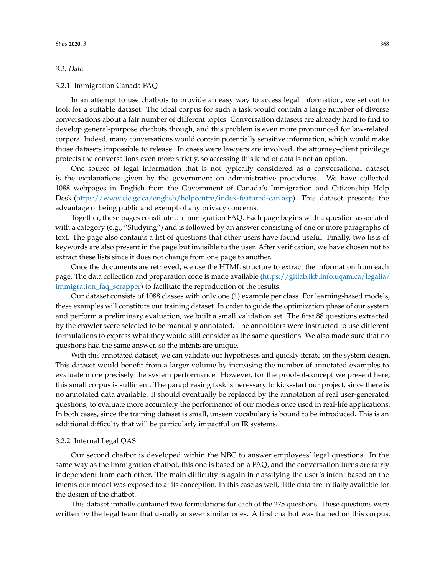## <span id="page-12-0"></span>*3.2. Data*

#### <span id="page-12-1"></span>3.2.1. Immigration Canada FAQ

In an attempt to use chatbots to provide an easy way to access legal information, we set out to look for a suitable dataset. The ideal corpus for such a task would contain a large number of diverse conversations about a fair number of different topics. Conversation datasets are already hard to find to develop general-purpose chatbots though, and this problem is even more pronounced for law-related corpora. Indeed, many conversations would contain potentially sensitive information, which would make those datasets impossible to release. In cases were lawyers are involved, the attorney–client privilege protects the conversations even more strictly, so accessing this kind of data is not an option.

One source of legal information that is not typically considered as a conversational dataset is the explanations given by the government on administrative procedures. We have collected 1088 webpages in English from the Government of Canada's Immigration and Citizenship Help Desk [\(https://www.cic.gc.ca/english/helpcentre/index-featured-can.asp\)](https://www.cic.gc.ca/english/helpcentre/index-featured-can.asp). This dataset presents the advantage of being public and exempt of any privacy concerns.

Together, these pages constitute an immigration FAQ. Each page begins with a question associated with a category (e.g., "Studying") and is followed by an answer consisting of one or more paragraphs of text. The page also contains a list of questions that other users have found useful. Finally, two lists of keywords are also present in the page but invisible to the user. After verification, we have chosen not to extract these lists since it does not change from one page to another.

Once the documents are retrieved, we use the HTML structure to extract the information from each page. The data collection and preparation code is made available [\(https://gitlab.ikb.info.uqam.ca/legalia/](https://gitlab.ikb.info.uqam.ca/legalia/immigration_faq_scrapper) [immigration\\_faq\\_scrapper\)](https://gitlab.ikb.info.uqam.ca/legalia/immigration_faq_scrapper) to facilitate the reproduction of the results.

Our dataset consists of 1088 classes with only one (1) example per class. For learning-based models, these examples will constitute our training dataset. In order to guide the optimization phase of our system and perform a preliminary evaluation, we built a small validation set. The first 88 questions extracted by the crawler were selected to be manually annotated. The annotators were instructed to use different formulations to express what they would still consider as the same questions. We also made sure that no questions had the same answer, so the intents are unique.

With this annotated dataset, we can validate our hypotheses and quickly iterate on the system design. This dataset would benefit from a larger volume by increasing the number of annotated examples to evaluate more precisely the system performance. However, for the proof-of-concept we present here, this small corpus is sufficient. The paraphrasing task is necessary to kick-start our project, since there is no annotated data available. It should eventually be replaced by the annotation of real user-generated questions, to evaluate more accurately the performance of our models once used in real-life applications. In both cases, since the training dataset is small, unseen vocabulary is bound to be introduced. This is an additional difficulty that will be particularly impactful on IR systems.

#### 3.2.2. Internal Legal QAS

Our second chatbot is developed within the NBC to answer employees' legal questions. In the same way as the immigration chatbot, this one is based on a FAQ, and the conversation turns are fairly independent from each other. The main difficulty is again in classifying the user's intent based on the intents our model was exposed to at its conception. In this case as well, little data are initially available for the design of the chatbot.

This dataset initially contained two formulations for each of the 275 questions. These questions were written by the legal team that usually answer similar ones. A first chatbot was trained on this corpus.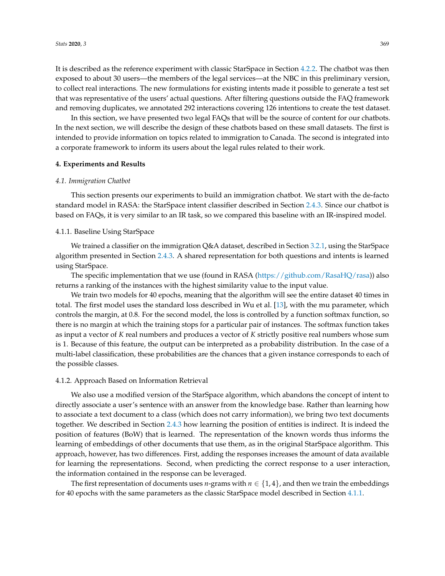It is described as the reference experiment with classic StarSpace in Section [4.2.2.](#page-14-1) The chatbot was then exposed to about 30 users—the members of the legal services—at the NBC in this preliminary version, to collect real interactions. The new formulations for existing intents made it possible to generate a test set that was representative of the users' actual questions. After filtering questions outside the FAQ framework and removing duplicates, we annotated 292 interactions covering 126 intentions to create the test dataset.

In this section, we have presented two legal FAQs that will be the source of content for our chatbots. In the next section, we will describe the design of these chatbots based on these small datasets. The first is intended to provide information on topics related to immigration to Canada. The second is integrated into a corporate framework to inform its users about the legal rules related to their work.

#### <span id="page-13-0"></span>**4. Experiments and Results**

#### <span id="page-13-1"></span>*4.1. Immigration Chatbot*

This section presents our experiments to build an immigration chatbot. We start with the de-facto standard model in RASA: the StarSpace intent classifier described in Section [2.4.3.](#page-9-0) Since our chatbot is based on FAQs, it is very similar to an IR task, so we compared this baseline with an IR-inspired model.

## <span id="page-13-2"></span>4.1.1. Baseline Using StarSpace

We trained a classifier on the immigration Q&A dataset, described in Section [3.2.1,](#page-12-1) using the StarSpace algorithm presented in Section [2.4.3.](#page-9-0) A shared representation for both questions and intents is learned using StarSpace.

The specific implementation that we use (found in RASA [\(https://github.com/RasaHQ/rasa\)](https://github.com/RasaHQ/rasa)) also returns a ranking of the instances with the highest similarity value to the input value.

We train two models for 40 epochs, meaning that the algorithm will see the entire dataset 40 times in total. The first model uses the standard loss described in Wu et al. [\[13\]](#page-18-8), with the mu parameter, which controls the margin, at 0.8. For the second model, the loss is controlled by a function softmax function, so there is no margin at which the training stops for a particular pair of instances. The softmax function takes as input a vector of *K* real numbers and produces a vector of *K* strictly positive real numbers whose sum is 1. Because of this feature, the output can be interpreted as a probability distribution. In the case of a multi-label classification, these probabilities are the chances that a given instance corresponds to each of the possible classes.

#### <span id="page-13-3"></span>4.1.2. Approach Based on Information Retrieval

We also use a modified version of the StarSpace algorithm, which abandons the concept of intent to directly associate a user's sentence with an answer from the knowledge base. Rather than learning how to associate a text document to a class (which does not carry information), we bring two text documents together. We described in Section [2.4.3](#page-9-0) how learning the position of entities is indirect. It is indeed the position of features (BoW) that is learned. The representation of the known words thus informs the learning of embeddings of other documents that use them, as in the original StarSpace algorithm. This approach, however, has two differences. First, adding the responses increases the amount of data available for learning the representations. Second, when predicting the correct response to a user interaction, the information contained in the response can be leveraged.

The first representation of documents uses *n*-grams with  $n \in \{1,4\}$ , and then we train the embeddings for 40 epochs with the same parameters as the classic StarSpace model described in Section [4.1.1.](#page-13-2)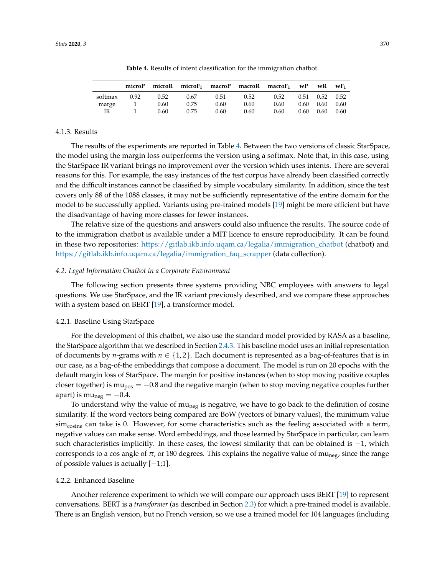<span id="page-14-2"></span>

|         | microP |      |      |      |      | micro $R$ micro $F_1$ macro $P$ macro $R$ macro $F_1$ | wP   | wR   | WF <sub>1</sub> |
|---------|--------|------|------|------|------|-------------------------------------------------------|------|------|-----------------|
| softmax | 0.92   | 0.52 | 0.67 | 0.51 | 0.52 | 0.52                                                  | 0.51 | 0.52 | 0.52            |
| marge   |        | 0.60 | 0.75 | 0.60 | 0.60 | 0.60                                                  | 0.60 | 0.60 | 0.60            |
| ΙR      |        | 0.60 | 0.75 | 0.60 | 0.60 | 0.60                                                  | 0.60 | 0.60 | 0.60            |

**Table 4.** Results of intent classification for the immigration chatbot.

### 4.1.3. Results

The results of the experiments are reported in Table [4.](#page-14-2) Between the two versions of classic StarSpace, the model using the margin loss outperforms the version using a softmax. Note that, in this case, using the StarSpace IR variant brings no improvement over the version which uses intents. There are several reasons for this. For example, the easy instances of the test corpus have already been classified correctly and the difficult instances cannot be classified by simple vocabulary similarity. In addition, since the test covers only 88 of the 1088 classes, it may not be sufficiently representative of the entire domain for the model to be successfully applied. Variants using pre-trained models [\[19\]](#page-18-14) might be more efficient but have the disadvantage of having more classes for fewer instances.

The relative size of the questions and answers could also influence the results. The source code of to the immigration chatbot is available under a MIT licence to ensure reproducibility. It can be found in these two repositories: [https://gitlab.ikb.info.uqam.ca/legalia/immigration\\_chatbot](https://gitlab.ikb.info.uqam.ca/legalia/immigration_chatbot) (chatbot) and [https://gitlab.ikb.info.uqam.ca/legalia/immigration\\_faq\\_scrapper](https://gitlab.ikb.info.uqam.ca/legalia/immigration_faq_scrapper) (data collection).

## <span id="page-14-0"></span>*4.2. Legal Information Chatbot in a Corporate Environment*

The following section presents three systems providing NBC employees with answers to legal questions. We use StarSpace, and the IR variant previously described, and we compare these approaches with a system based on BERT [\[19\]](#page-18-14), a transformer model.

#### 4.2.1. Baseline Using StarSpace

For the development of this chatbot, we also use the standard model provided by RASA as a baseline, the StarSpace algorithm that we described in Section [2.4.3.](#page-9-0) This baseline model uses an initial representation of documents by *n*-grams with  $n \in \{1, 2\}$ . Each document is represented as a bag-of-features that is in our case, as a bag-of-the embeddings that compose a document. The model is run on 20 epochs with the default margin loss of StarSpace. The margin for positive instances (when to stop moving positive couples closer together) is mu<sub>pos</sub> =  $-0.8$  and the negative margin (when to stop moving negative couples further apart) is mu<sub>neg</sub> =  $-0.4$ .

To understand why the value of mu<sub>neg</sub> is negative, we have to go back to the definition of cosine similarity. If the word vectors being compared are BoW (vectors of binary values), the minimum value  $\sin\cos\theta$  can take is 0. However, for some characteristics such as the feeling associated with a term, negative values can make sense. Word embeddings, and those learned by StarSpace in particular, can learn such characteristics implicitly. In these cases, the lowest similarity that can be obtained is −1, which corresponds to a cos angle of  $\pi$ , or 180 degrees. This explains the negative value of mu<sub>neg</sub>, since the range of possible values is actually [−1;1].

# <span id="page-14-1"></span>4.2.2. Enhanced Baseline

Another reference experiment to which we will compare our approach uses BERT [\[19\]](#page-18-14) to represent conversations. BERT is a *transformer* (as described in Section [2.3\)](#page-6-0) for which a pre-trained model is available. There is an English version, but no French version, so we use a trained model for 104 languages (including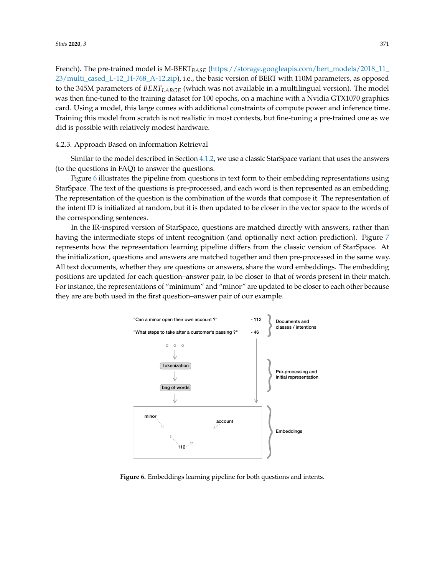French). The pre-trained model is M-BERT*BASE* [\(https://storage.googleapis.com/bert\\_models/2018\\_11\\_](https://storage.googleapis.com/bert_models/2018_11_23/multi_cased_L-12_H-768_A-12.zip) [23/multi\\_cased\\_L-12\\_H-768\\_A-12.zip\)](https://storage.googleapis.com/bert_models/2018_11_23/multi_cased_L-12_H-768_A-12.zip), i.e., the basic version of BERT with 110M parameters, as opposed to the 345M parameters of *BERTLARGE* (which was not available in a multilingual version). The model was then fine-tuned to the training dataset for 100 epochs, on a machine with a Nvidia GTX1070 graphics card. Using a model, this large comes with additional constraints of compute power and inference time. Training this model from scratch is not realistic in most contexts, but fine-tuning a pre-trained one as we did is possible with relatively modest hardware.

#### 4.2.3. Approach Based on Information Retrieval

Similar to the model described in Section [4.1.2,](#page-13-3) we use a classic StarSpace variant that uses the answers (to the questions in FAQ) to answer the questions.

Figure [6](#page-15-0) illustrates the pipeline from questions in text form to their embedding representations using StarSpace. The text of the questions is pre-processed, and each word is then represented as an embedding. The representation of the question is the combination of the words that compose it. The representation of the intent ID is initialized at random, but it is then updated to be closer in the vector space to the words of the corresponding sentences.

In the IR-inspired version of StarSpace, questions are matched directly with answers, rather than having the intermediate steps of intent recognition (and optionally next action prediction). Figure [7](#page-16-0) represents how the representation learning pipeline differs from the classic version of StarSpace. At the initialization, questions and answers are matched together and then pre-processed in the same way. All text documents, whether they are questions or answers, share the word embeddings. The embedding positions are updated for each question–answer pair, to be closer to that of words present in their match. For instance, the representations of "minimum" and "minor" are updated to be closer to each other because they are are both used in the first question–answer pair of our example.

<span id="page-15-0"></span>

**Figure 6.** Embeddings learning pipeline for both questions and intents.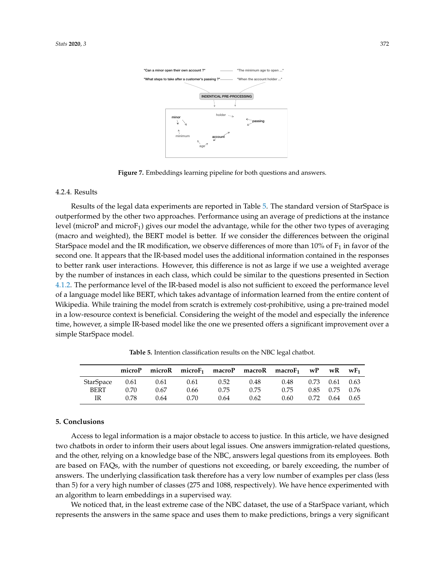<span id="page-16-0"></span>

**Figure 7.** Embeddings learning pipeline for both questions and answers.

## 4.2.4. Results

Results of the legal data experiments are reported in Table [5.](#page-16-1) The standard version of StarSpace is outperformed by the other two approaches. Performance using an average of predictions at the instance level (microP and micro $F_1$ ) gives our model the advantage, while for the other two types of averaging (macro and weighted), the BERT model is better. If we consider the differences between the original StarSpace model and the IR modification, we observe differences of more than  $10\%$  of  $F_1$  in favor of the second one. It appears that the IR-based model uses the additional information contained in the responses to better rank user interactions. However, this difference is not as large if we use a weighted average by the number of instances in each class, which could be similar to the questions presented in Section [4.1.2.](#page-13-3) The performance level of the IR-based model is also not sufficient to exceed the performance level of a language model like BERT, which takes advantage of information learned from the entire content of Wikipedia. While training the model from scratch is extremely cost-prohibitive, using a pre-trained model in a low-resource context is beneficial. Considering the weight of the model and especially the inference time, however, a simple IR-based model like the one we presented offers a significant improvement over a simple StarSpace model.

<span id="page-16-1"></span>

|                  | microP |      |      |      |      | micro $R$ micro $F_1$ macro $P$ macro $R$ macro $F_1$ w $P$ |      | wR                   | $\mathbf{w} \mathbf{F_1}$ |
|------------------|--------|------|------|------|------|-------------------------------------------------------------|------|----------------------|---------------------------|
| <b>StarSpace</b> | 0.61   | 0.61 | 0.61 | 0.52 | 0.48 | 0.48                                                        |      | $0.73$ $0.61$ $0.63$ |                           |
| <b>BERT</b>      | 0.70   | 0.67 | 0.66 | 0.75 | 0.75 | 0.75                                                        |      | $0.85$ $0.75$ $0.76$ |                           |
| IR               | 0.78   | 0.64 | 0.70 | 0.64 | 0.62 | 0.60                                                        | 0.72 | 0.64                 | 0.65                      |

**Table 5.** Intention classification results on the NBC legal chatbot.

#### **5. Conclusions**

Access to legal information is a major obstacle to access to justice. In this article, we have designed two chatbots in order to inform their users about legal issues. One answers immigration-related questions, and the other, relying on a knowledge base of the NBC, answers legal questions from its employees. Both are based on FAQs, with the number of questions not exceeding, or barely exceeding, the number of answers. The underlying classification task therefore has a very low number of examples per class (less than 5) for a very high number of classes (275 and 1088, respectively). We have hence experimented with an algorithm to learn embeddings in a supervised way.

We noticed that, in the least extreme case of the NBC dataset, the use of a StarSpace variant, which represents the answers in the same space and uses them to make predictions, brings a very significant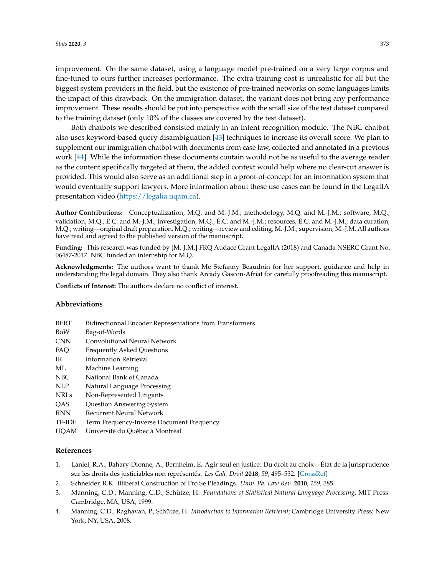improvement. On the same dataset, using a language model pre-trained on a very large corpus and fine-tuned to ours further increases performance. The extra training cost is unrealistic for all but the biggest system providers in the field, but the existence of pre-trained networks on some languages limits the impact of this drawback. On the immigration dataset, the variant does not bring any performance improvement. These results should be put into perspective with the small size of the test dataset compared to the training dataset (only 10% of the classes are covered by the test dataset).

Both chatbots we described consisted mainly in an intent recognition module. The NBC chatbot also uses keyword-based query disambiguation [\[43\]](#page-19-16) techniques to increase its overall score. We plan to supplement our immigration chatbot with documents from case law, collected and annotated in a previous work [\[44\]](#page-19-17). While the information these documents contain would not be as useful to the average reader as the content specifically targeted at them, the added context would help where no clear-cut answer is provided. This would also serve as an additional step in a proof-of-concept for an information system that would eventually support lawyers. More information about these use cases can be found in the LegalIA presentation video [\(https://legalia.uqam.ca\)](https://legalia.uqam.ca).

**Author Contributions:** Conceptualization, M.Q. and M.-J.M.; methodology, M.Q. and M.-J.M.; software, M.Q.; validation, M.Q., É.C. and M.-J.M.; investigation, M.Q., É.C. and M.-J.M.; resources, É.C. and M.-J.M.; data curation, M.Q.; writing—original draft preparation, M.Q.; writing—review and editing, M.-J.M.; supervision, M.-J.M. All authors have read and agreed to the published version of the manuscript.

**Funding:** This research was funded by [M.-J.M.] FRQ Audace Grant LegalIA (2018) and Canada NSERC Grant No. 06487-2017. NBC funded an internship for M.Q.

**Acknowledgments:** The authors want to thank Me Stefanny Beaudoin for her support, guidance and help in understanding the legal domain. They also thank Arcady Gascon-Afriat for carefully proofreading this manuscript.

**Conflicts of Interest:** The authors declare no conflict of interest.

## **Abbreviations**

- BERT Bidirectionnal Encoder Representations from Transformers
- BoW Bag-of-Words
- CNN Convolutional Neural Network
- FAQ Frequently Asked Questions
- IR Information Retrieval
- ML Machine Learning
- NBC National Bank of Canada
- NLP Natural Language Processing
- NRLs Non-Represented Litigants
- QAS Question Answering System
- RNN Recurrent Neural Network
- TF-IDF Term Frequency-Inverse Document Frequency
- UQAM Université du Québec à Montréal

# **References**

- <span id="page-17-0"></span>1. Laniel, R.A.; Bahary-Dionne, A.; Bernheim, E. Agir seul en justice: Du droit au choix—État de la jurisprudence sur les droits des justiciables non représentés. *Les Cah. Droit* **2018**, *59*, 495–532. [\[CrossRef\]](http://dx.doi.org/10.7202/1052476ar)
- <span id="page-17-1"></span>2. Schneider, R.K. Illiberal Construction of Pro Se Pleadings. *Univ. Pa. Law Rev.* **2010**, *159*, 585.
- <span id="page-17-2"></span>3. Manning, C.D.; Manning, C.D.; Schütze, H. *Foundations of Statistical Natural Language Processing*; MIT Press: Cambridge, MA, USA, 1999.
- <span id="page-17-3"></span>4. Manning, C.D.; Raghavan, P.; Schütze, H. *Introduction to Information Retrieval*; Cambridge University Press: New York, NY, USA, 2008.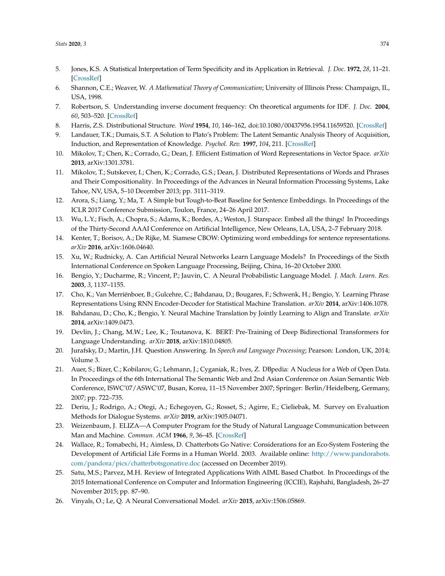- <span id="page-18-0"></span>5. Jones, K.S. A Statistical Interpretation of Term Specificity and its Application in Retrieval. *J. Doc.* **1972**, *28*, 11–21. [\[CrossRef\]](http://dx.doi.org/10.1108/eb026526)
- <span id="page-18-1"></span>6. Shannon, C.E.; Weaver, W. *A Mathematical Theory of Communication*; University of Illinois Press: Champaign, IL, USA, 1998.
- <span id="page-18-2"></span>7. Robertson, S. Understanding inverse document frequency: On theoretical arguments for IDF. *J. Doc.* **2004**, *60*, 503–520. [\[CrossRef\]](http://dx.doi.org/10.1108/00220410410560582)
- <span id="page-18-4"></span><span id="page-18-3"></span>8. Harris, Z.S. Distributional Structure. *Word* **1954**, *10*, 146–162, doi[:10.1080/00437956.1954.11659520.](https://doi.org/10.1080/00437956.1954.11659520) [\[CrossRef\]](http://dx.doi.org/10.1080/00437956.1954.11659520)
- 9. Landauer, T.K.; Dumais, S.T. A Solution to Plato's Problem: The Latent Semantic Analysis Theory of Acquisition, Induction, and Representation of Knowledge. *Psychol. Rev.* **1997**, *104*, 211. [\[CrossRef\]](http://dx.doi.org/10.1037/0033-295X.104.2.211)
- <span id="page-18-5"></span>10. Mikolov, T.; Chen, K.; Corrado, G.; Dean, J. Efficient Estimation of Word Representations in Vector Space. *arXiv* **2013**, arXiv:1301.3781.
- <span id="page-18-6"></span>11. Mikolov, T.; Sutskever, I.; Chen, K.; Corrado, G.S.; Dean, J. Distributed Representations of Words and Phrases and Their Compositionality. In Proceedings of the Advances in Neural Information Processing Systems, Lake Tahoe, NV, USA, 5–10 December 2013; pp. 3111–3119.
- <span id="page-18-7"></span>12. Arora, S.; Liang, Y.; Ma, T. A Simple but Tough-to-Beat Baseline for Sentence Embeddings. In Proceedings of the ICLR 2017 Conference Submission, Toulon, France, 24–26 April 2017.
- <span id="page-18-8"></span>13. Wu, L.Y.; Fisch, A.; Chopra, S.; Adams, K.; Bordes, A.; Weston, J. Starspace: Embed all the things! In Proceedings of the Thirty-Second AAAI Conference on Artificial Intelligence, New Orleans, LA, USA, 2–7 February 2018.
- <span id="page-18-9"></span>14. Kenter, T.; Borisov, A.; De Rijke, M. Siamese CBOW: Optimizing word embeddings for sentence representations. *arXiv* **2016**, arXiv:1606.04640.
- <span id="page-18-10"></span>15. Xu, W.; Rudnicky, A. Can Artificial Neural Networks Learn Language Models? In Proceedings of the Sixth International Conference on Spoken Language Processing, Beijing, China, 16–20 October 2000.
- <span id="page-18-11"></span>16. Bengio, Y.; Ducharme, R.; Vincent, P.; Jauvin, C. A Neural Probabilistic Language Model. *J. Mach. Learn. Res.* **2003**, *3*, 1137–1155.
- <span id="page-18-12"></span>17. Cho, K.; Van Merriënboer, B.; Gulcehre, C.; Bahdanau, D.; Bougares, F.; Schwenk, H.; Bengio, Y. Learning Phrase Representations Using RNN Encoder-Decoder for Statistical Machine Translation. *arXiv* **2014**, arXiv:1406.1078.
- <span id="page-18-13"></span>18. Bahdanau, D.; Cho, K.; Bengio, Y. Neural Machine Translation by Jointly Learning to Align and Translate. *arXiv* **2014**, arXiv:1409.0473.
- <span id="page-18-14"></span>19. Devlin, J.; Chang, M.W.; Lee, K.; Toutanova, K. BERT: Pre-Training of Deep Bidirectional Transformers for Language Understanding. *arXiv* **2018**, arXiv:1810.04805.
- <span id="page-18-15"></span>20. Jurafsky, D.; Martin, J.H. Question Answering. In *Speech and Language Processing*; Pearson: London, UK, 2014; Volume 3.
- <span id="page-18-16"></span>21. Auer, S.; Bizer, C.; Kobilarov, G.; Lehmann, J.; Cyganiak, R.; Ives, Z. DBpedia: A Nucleus for a Web of Open Data. In Proceedings of the 6th International The Semantic Web and 2nd Asian Conference on Asian Semantic Web Conference, ISWC'07/ASWC'07, Busan, Korea, 11–15 November 2007; Springer: Berlin/Heidelberg, Germany, 2007; pp. 722–735.
- <span id="page-18-17"></span>22. Deriu, J.; Rodrigo, A.; Otegi, A.; Echegoyen, G.; Rosset, S.; Agirre, E.; Cieliebak, M. Survey on Evaluation Methods for Dialogue Systems. *arXiv* **2019**, arXiv:1905.04071.
- <span id="page-18-18"></span>23. Weizenbaum, J. ELIZA—A Computer Program for the Study of Natural Language Communication between Man and Machine. *Commun. ACM* **1966**, *9*, 36–45. [\[CrossRef\]](http://dx.doi.org/10.1145/365153.365168)
- <span id="page-18-19"></span>24. Wallace, R.; Tomabechi, H.; Aimless, D. Chatterbots Go Native: Considerations for an Eco-System Fostering the Development of Artificial Life Forms in a Human World. 2003. Available online: [http://www.pandorabots.](http://www.pandorabots.com/pandora/pics/chatterbotsgonative. doc) [com/pandora/pics/chatterbotsgonative.doc](http://www.pandorabots.com/pandora/pics/chatterbotsgonative. doc) (accessed on December 2019).
- <span id="page-18-20"></span>25. Satu, M.S.; Parvez, M.H. Review of Integrated Applications With AIML Based Chatbot. In Proceedings of the 2015 International Conference on Computer and Information Engineering (ICCIE), Rajshahi, Bangladesh, 26–27 November 2015; pp. 87–90.
- <span id="page-18-21"></span>26. Vinyals, O.; Le, Q. A Neural Conversational Model. *arXiv* **2015**, arXiv:1506.05869.